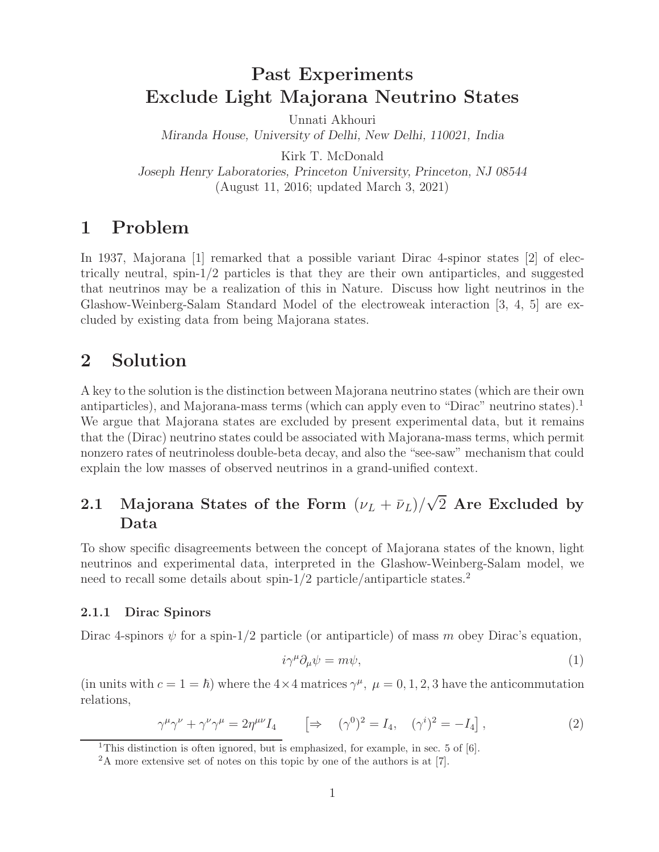# **Past Experiments Exclude Light Majorana Neutrino States**

Unnati Akhouri *Miranda House, University of Delhi, New Delhi, 110021, India*

Kirk T. McDonald *Joseph Henry Laboratories, Princeton University, Princeton, NJ 08544* (August 11, 2016; updated March 3, 2021)

# **1 Problem**

In 1937, Majorana [1] remarked that a possible variant Dirac 4-spinor states [2] of electrically neutral, spin- $1/2$  particles is that they are their own antiparticles, and suggested that neutrinos may be a realization of this in Nature. Discuss how light neutrinos in the Glashow-Weinberg-Salam Standard Model of the electroweak interaction [3, 4, 5] are excluded by existing data from being Majorana states.

# **2 Solution**

A key to the solution is the distinction between Majorana neutrino states (which are their own antiparticles), and Majorana-mass terms (which can apply even to "Dirac" neutrino states).<sup>1</sup> We argue that Majorana states are excluded by present experimental data, but it remains that the (Dirac) neutrino states could be associated with Majorana-mass terms, which permit nonzero rates of neutrinoless double-beta decay, and also the "see-saw" mechanism that could explain the low masses of observed neutrinos in a grand-unified context.

# **2.1 Majorana States of the Form**  $(\nu_L + \bar{\nu}_L)/\sqrt{2}$  Are Excluded by **Data**

To show specific disagreements between the concept of Majorana states of the known, light neutrinos and experimental data, interpreted in the Glashow-Weinberg-Salam model, we need to recall some details about spin-1/2 particle/antiparticle states.<sup>2</sup>

# **2.1.1 Dirac Spinors**

Dirac 4-spinors  $\psi$  for a spin-1/2 particle (or antiparticle) of mass m obey Dirac's equation,

$$
i\gamma^{\mu}\partial_{\mu}\psi = m\psi,\tag{1}
$$

(in units with  $c = 1 = \hbar$ ) where the  $4 \times 4$  matrices  $\gamma^{\mu}$ ,  $\mu = 0, 1, 2, 3$  have the anticommutation relations relations,

$$
\gamma^{\mu}\gamma^{\nu} + \gamma^{\nu}\gamma^{\mu} = 2\eta^{\mu\nu}I_4 \qquad \left[\Rightarrow \quad (\gamma^0)^2 = I_4, \quad (\gamma^i)^2 = -I_4\right],\tag{2}
$$

<sup>&</sup>lt;sup>1</sup>This distinction is often ignored, but is emphasized, for example, in sec. 5 of [6].

<sup>&</sup>lt;sup>2</sup>A more extensive set of notes on this topic by one of the authors is at [7].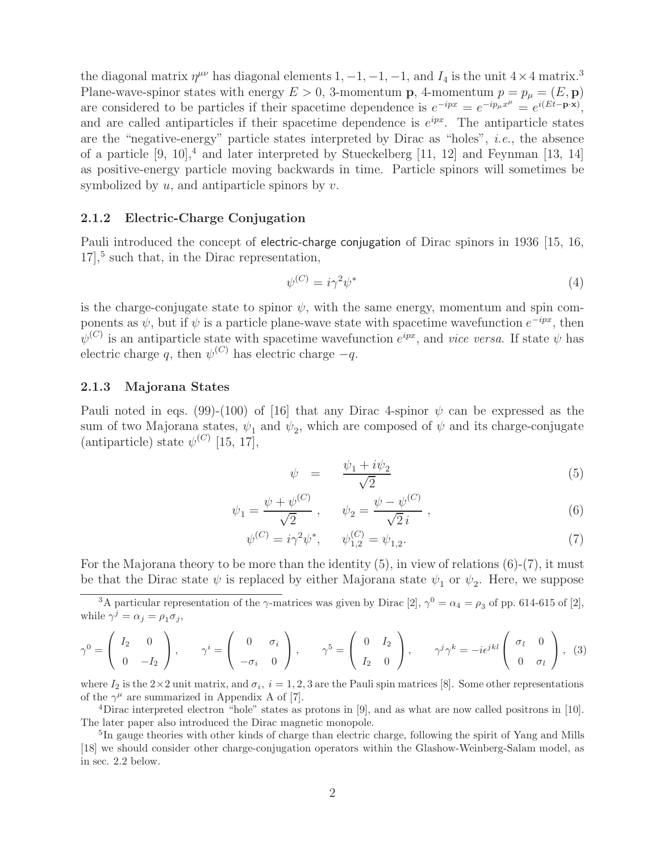the diagonal matrix  $\eta^{\mu\nu}$  has diagonal elements 1, -1, -1, -1, and  $I_4$  is the unit  $4 \times 4$  matrix.<sup>3</sup> Plane-wave-spinor states with energy  $E > 0$ , 3-momentum **p**, 4-momentum  $p = p_{\mu} = (E, \mathbf{p})$ are considered to be particles if their spacetime dependence is  $e^{-ipx} = e^{-ip_\mu x^\mu} = e^{i(Et-\mathbf{p}\cdot\mathbf{x})}$ , and are called antiparticles if their spacetime dependence is  $e^{ipx}$ . The antiparticle states are the "negative-energy" particle states interpreted by Dirac as "holes", *i.e.*, the absence of a particle  $[9, 10]$ ,<sup>4</sup> and later interpreted by Stueckelberg [11, 12] and Feynman [13, 14] as positive-energy particle moving backwards in time. Particle spinors will sometimes be symbolized by  $u$ , and antiparticle spinors by  $v$ .

### **2.1.2 Electric-Charge Conjugation**

Pauli introduced the concept of electric-charge conjugation of Dirac spinors in 1936 [15, 16,  $17$ <sup>5</sup>, such that, in the Dirac representation,

$$
\psi^{(C)} = i\gamma^2 \psi^* \tag{4}
$$

is the charge-conjugate state to spinor  $\psi$ , with the same energy, momentum and spin components as  $\psi$ , but if  $\psi$  is a particle plane-wave state with spacetime wavefunction  $e^{-ipx}$ , then  $\psi^{(C)}$  is an antiparticle state with spacetime wavefunction  $e^{ipx}$ , and *vice versa*. If state  $\psi$  has electric charge q, then  $\psi^{(C)}$  has electric charge  $-q$ .

### **2.1.3 Majorana States**

Pauli noted in eqs. (99)-(100) of [16] that any Dirac 4-spinor  $\psi$  can be expressed as the sum of two Majorana states,  $\psi_1$  and  $\psi_2$ , which are composed of  $\psi$  and its charge-conjugate (antiparticle) state  $\psi^{(C)}$  [15, 17],

$$
\psi = \frac{\psi_1 + i\psi_2}{\sqrt{2}} \tag{5}
$$

$$
\psi_1 = \frac{\psi + \psi^{(C)}}{\sqrt{2}}, \qquad \psi_2 = \frac{\psi - \psi^{(C)}}{\sqrt{2}i},
$$
\n(6)

$$
\psi^{(C)} = i\gamma^2 \psi^*, \qquad \psi^{(C)}_{1,2} = \psi_{1,2}.\tag{7}
$$

For the Majorana theory to be more than the identity  $(5)$ , in view of relations  $(6)-(7)$ , it must be that the Dirac state  $\psi$  is replaced by either Majorana state  $\psi_1$  or  $\psi_2$ . Here, we suppose

<sup>3</sup>A particular representation of the  $\gamma$ -matrices was given by Dirac [2],  $\gamma^0 = \alpha_4 = \rho_3$  of pp. 614-615 of [2], while  $\gamma^j = \alpha_j = \rho_1 \sigma_j$ ,

$$
\gamma^0 = \begin{pmatrix} I_2 & 0 \\ 0 & -I_2 \end{pmatrix}, \qquad \gamma^i = \begin{pmatrix} 0 & \sigma_i \\ -\sigma_i & 0 \end{pmatrix}, \qquad \gamma^5 = \begin{pmatrix} 0 & I_2 \\ I_2 & 0 \end{pmatrix}, \qquad \gamma^j \gamma^k = -i\epsilon^{jkl} \begin{pmatrix} \sigma_l & 0 \\ 0 & \sigma_l \end{pmatrix}, \quad (3)
$$

where  $I_2$  is the  $2\times 2$  unit matrix, and  $\sigma_i$ ,  $i = 1, 2, 3$  are the Pauli spin matrices [8]. Some other representations of the  $\gamma^{\mu}$  are summarized in Appendix A of [7].

<sup>4</sup>Dirac interpreted electron "hole" states as protons in [9], and as what are now called positrons in [10]. The later paper also introduced the Dirac magnetic monopole.

<sup>5</sup>In gauge theories with other kinds of charge than electric charge, following the spirit of Yang and Mills [18] we should consider other charge-conjugation operators within the Glashow-Weinberg-Salam model, as in sec. 2.2 below.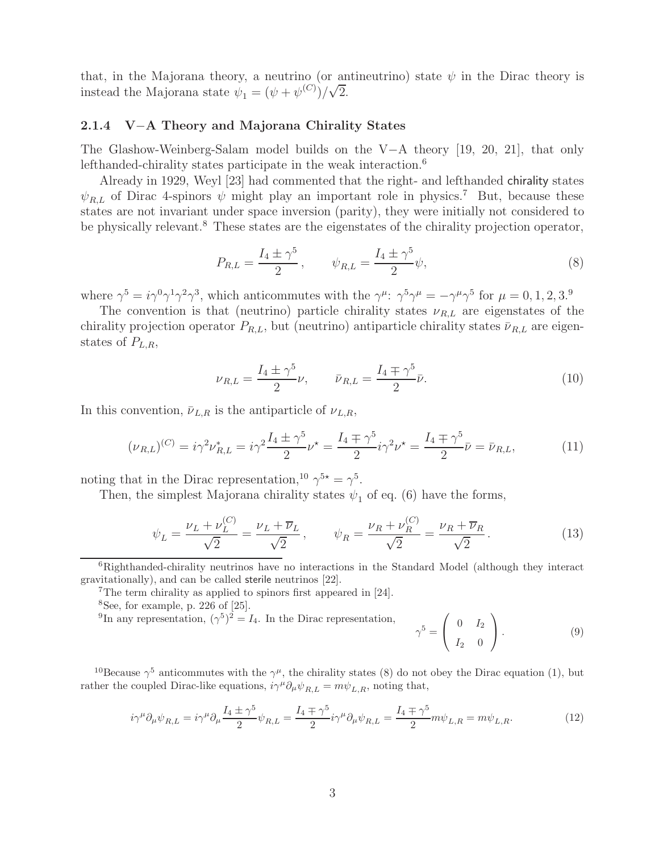that, in the Majorana theory, a neutrino (or antineutrino) state  $\psi$  in the Dirac theory is instead the Majorana state  $\psi_1 = (\psi + \psi^{(C)})/\sqrt{2}$ .

## **2.1.4 V**−**A Theory and Majorana Chirality States**

The Glashow-Weinberg-Salam model builds on the V−A theory [19, 20, 21], that only lefthanded-chirality states participate in the weak interaction.<sup>6</sup>

Already in 1929, Weyl [23] had commented that the right- and lefthanded chirality states  $\psi_{R,L}$  of Dirac 4-spinors  $\psi$  might play an important role in physics.<sup>7</sup> But, because these states are not invariant under space inversion (parity), they were initially not considered to be physically relevant.<sup>8</sup> These states are the eigenstates of the chirality projection operator,

$$
P_{R,L} = \frac{I_4 \pm \gamma^5}{2}, \qquad \psi_{R,L} = \frac{I_4 \pm \gamma^5}{2} \psi,
$$
 (8)

where  $\gamma^5 = i\gamma^0\gamma^1\gamma^2\gamma^3$ , which anticommutes with the  $\gamma^\mu$ :  $\gamma^5\gamma^\mu = -\gamma^\mu\gamma^5$  for  $\mu = 0, 1, 2, 3$ .

The convention is that (neutrino) particle chirality states  $\nu_{R,L}$  are eigenstates of the chirality projection operator  $P_{R,L}$ , but (neutrino) antiparticle chirality states  $\bar{\nu}_{R,L}$  are eigenstates of  $P_{L,R}$ ,

$$
\nu_{R,L} = \frac{I_4 \pm \gamma^5}{2} \nu, \qquad \bar{\nu}_{R,L} = \frac{I_4 \mp \gamma^5}{2} \bar{\nu}.
$$
 (10)

In this convention,  $\bar{\nu}_{L,R}$  is the antiparticle of  $\nu_{L,R}$ ,

$$
(\nu_{R,L})^{(C)} = i\gamma^2 \nu_{R,L}^* = i\gamma^2 \frac{I_4 \pm \gamma^5}{2} \nu^* = \frac{I_4 \mp \gamma^5}{2} i\gamma^2 \nu^* = \frac{I_4 \mp \gamma^5}{2} \bar{\nu} = \bar{\nu}_{R,L},\tag{11}
$$

noting that in the Dirac representation,<sup>10</sup>  $\gamma^{5*} = \gamma^5$ .

Then, the simplest Majorana chirality states  $\psi_1$  of eq. (6) have the forms,

$$
\psi_L = \frac{\nu_L + \nu_L^{(C)}}{\sqrt{2}} = \frac{\nu_L + \overline{\nu}_L}{\sqrt{2}}, \qquad \psi_R = \frac{\nu_R + \nu_R^{(C)}}{\sqrt{2}} = \frac{\nu_R + \overline{\nu}_R}{\sqrt{2}}.
$$
\n(13)

<sup>9</sup>In any representation,  $({\gamma}^5)^2 = I_4$ . In the Dirac representation,

$$
\gamma^5 = \left(\begin{array}{cc} 0 & I_2 \\ I_2 & 0 \end{array}\right). \tag{9}
$$

<sup>10</sup>Because  $\gamma^5$  anticommutes with the  $\gamma^{\mu}$ , the chirality states (8) do not obey the Dirac equation (1), but rather the coupled Dirac-like equations,  $i\gamma^{\mu}\partial_{\mu}\psi_{R,L} = m\psi_{L,R}$ , noting that,

$$
i\gamma^{\mu}\partial_{\mu}\psi_{R,L} = i\gamma^{\mu}\partial_{\mu}\frac{I_4 \pm \gamma^5}{2}\psi_{R,L} = \frac{I_4 \mp \gamma^5}{2}i\gamma^{\mu}\partial_{\mu}\psi_{R,L} = \frac{I_4 \mp \gamma^5}{2}m\psi_{L,R} = m\psi_{L,R}.\tag{12}
$$

<sup>6</sup>Righthanded-chirality neutrinos have no interactions in the Standard Model (although they interact gravitationally), and can be called sterile neutrinos [22].

<sup>7</sup>The term chirality as applied to spinors first appeared in [24].

 $8$ See, for example, p. 226 of  $[25]$ .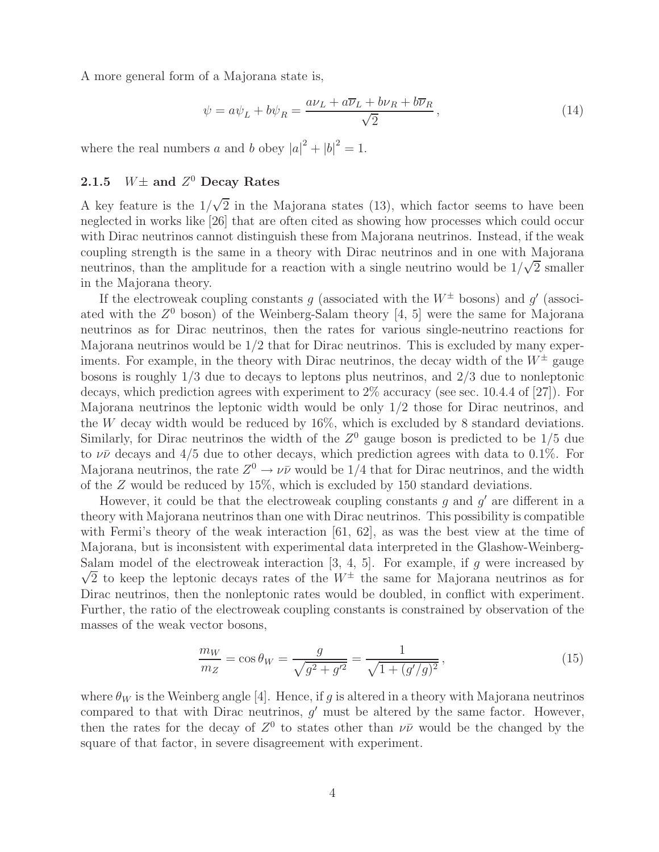A more general form of a Majorana state is,

$$
\psi = a\psi_L + b\psi_R = \frac{a\nu_L + a\overline{\nu}_L + b\nu_R + b\overline{\nu}_R}{\sqrt{2}},\tag{14}
$$

where the real numbers a and b obey  $|a|^2 + |b|^2 = 1$ .

## **2.1.5**  $W\pm$  **and**  $Z^0$  **Decay Rates**

A key feature is the  $1/\sqrt{2}$  in the Majorana states (13), which factor seems to have been<br>neglected in works like [26] that are often cited as showing how processes which could occur neglected in works like [26] that are often cited as showing how processes which could occur with Dirac neutrinos cannot distinguish these from Majorana neutrinos. Instead, if the weak coupling strength is the same in a theory with Dirac neutrinos and in one with Majorana neutrinos, than the amplitude for a reaction with a single neutrino would be  $1/\sqrt{2}$  smaller<br>in the Majorana theory in the Majorana theory.

If the electroweak coupling constants q (associated with the  $W^{\pm}$  bosons) and q' (associated with the  $Z^0$  boson) of the Weinberg-Salam theory [4, 5] were the same for Majorana neutrinos as for Dirac neutrinos, then the rates for various single-neutrino reactions for Majorana neutrinos would be 1/2 that for Dirac neutrinos. This is excluded by many experiments. For example, in the theory with Dirac neutrinos, the decay width of the  $W^{\pm}$  gauge bosons is roughly 1/3 due to decays to leptons plus neutrinos, and 2/3 due to nonleptonic decays, which prediction agrees with experiment to 2% accuracy (see sec. 10.4.4 of [27]). For Majorana neutrinos the leptonic width would be only 1/2 those for Dirac neutrinos, and the W decay width would be reduced by 16%, which is excluded by 8 standard deviations. Similarly, for Dirac neutrinos the width of the  $Z^0$  gauge boson is predicted to be  $1/5$  due to  $\nu\bar{\nu}$  decays and 4/5 due to other decays, which prediction agrees with data to 0.1%. For Majorana neutrinos, the rate  $Z^0 \to \nu \bar{\nu}$  would be 1/4 that for Dirac neutrinos, and the width of the Z would be reduced by 15%, which is excluded by 150 standard deviations.

However, it could be that the electroweak coupling constants g and  $g'$  are different in a theory with Majorana neutrinos than one with Dirac neutrinos. This possibility is compatible with Fermi's theory of the weak interaction [61, 62], as was the best view at the time of Majorana, but is inconsistent with experimental data interpreted in the Glashow-Weinberg-Salam model of the electroweak interaction [3, 4, 5]. For example, if g were increased by<br> $\sqrt{2}$  to keep the leptonic decays rates of the  $W^{\pm}$  the same for Majorana poutrings as for  $\sqrt{2}$  to keep the leptonic decays rates of the  $W^{\pm}$  the same for Majorana neutrinos as for<br>Direc neutrinos, then the popleptonic rates would be doubled in conflict with experiment Dirac neutrinos, then the nonleptonic rates would be doubled, in conflict with experiment. Further, the ratio of the electroweak coupling constants is constrained by observation of the masses of the weak vector bosons,

$$
\frac{m_W}{m_Z} = \cos \theta_W = \frac{g}{\sqrt{g^2 + g'^2}} = \frac{1}{\sqrt{1 + (g'/g)^2}},\tag{15}
$$

where  $\theta_W$  is the Weinberg angle [4]. Hence, if g is altered in a theory with Majorana neutrinos compared to that with Dirac neutrinos,  $g'$  must be altered by the same factor. However, then the rates for the decay of  $Z^0$  to states other than  $\nu\bar{\nu}$  would be the changed by the square of that factor, in severe disagreement with experiment.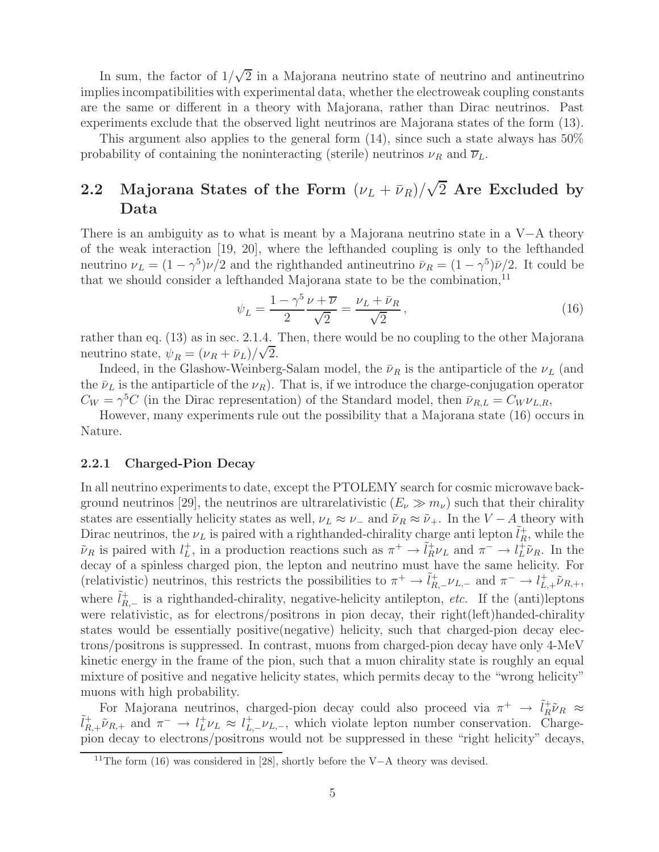In sum, the factor of  $1/\sqrt{2}$  in a Majorana neutrino state of neutrino and antineutrino<br>plies incompatibilities with experimental data, whether the electroweak coupling constants implies incompatibilities with experimental data, whether the electroweak coupling constants are the same or different in a theory with Majorana, rather than Dirac neutrinos. Past experiments exclude that the observed light neutrinos are Majorana states of the form (13).

This argument also applies to the general form  $(14)$ , since such a state always has  $50\%$ probability of containing the noninteracting (sterile) neutrinos  $\nu_R$  and  $\overline{\nu}_L$ .

# **2.2** Majorana States of the Form  $(\nu_L + \bar{\nu}_R)/\sqrt{2}$  Are Excluded by **Data**

There is an ambiguity as to what is meant by a Majorana neutrino state in a V−A theory of the weak interaction [19, 20], where the lefthanded coupling is only to the lefthanded neutrino  $\nu_L = (1 - \gamma^5)\nu/2$  and the righthanded antineutrino  $\bar{\nu}_R = (1 - \gamma^5)\bar{\nu}/2$ . It could be that we should consider a lefthanded Majorana state to be the combination,  $11$ 

$$
\psi_L = \frac{1 - \gamma^5 \nu + \overline{\nu}}{2} = \frac{\nu_L + \overline{\nu}_R}{\sqrt{2}},\tag{16}
$$

rather than eq. (13) as in sec. 2.1.4. Then, there would be no coupling to the other Majorana neutrino state,  $\psi_R = (\nu_R + \bar{\nu}_L)/\sqrt{2}$ .<br>Indeed in the Glashow-Weinher

Indeed, in the Glashow-Weinberg-Salam model, the  $\bar{\nu}_R$  is the antiparticle of the  $\nu_L$  (and the  $\bar{\nu}_L$  is the antiparticle of the  $\nu_R$ ). That is, if we introduce the charge-conjugation operator  $C_W = \gamma^5 C$  (in the Dirac representation) of the Standard model, then  $\bar{\nu}_{R,L} = C_W \nu_{L,R}$ ,

However, many experiments rule out the possibility that a Majorana state (16) occurs in Nature.

### **2.2.1 Charged-Pion Decay**

In all neutrino experiments to date, except the PTOLEMY search for cosmic microwave background neutrinos [29], the neutrinos are ultrarelativistic  $(E_\nu \gg m_\nu)$  such that their chirality states are essentially helicity states as well,  $\nu_L \approx \nu_-$  and  $\tilde{\nu}_R \approx \tilde{\nu}_+$ . In the  $V - A$  theory with Dirac neutrinos, the  $\nu_L$  is paired with a righthanded-chirality charge anti lepton  $\tilde{l}_R^+$ , while the  $\tilde{\nu}_R$  is paired with  $l^+$  in a production reactions such as  $\pi^+ \rightarrow \tilde{l}^+ \nu_L$  and  $\pi^- \rightarrow l^+ \tilde{\nu}_R$ . In the  $\tilde{\nu}_R$  is paired with  $l_L^+$ , in a production reactions such as  $\pi^+ \to \tilde{l}_R^+ \nu_L$  and  $\pi^- \to l_L^+ \tilde{\nu}_R$ . In the decay of a spinless charged pion, the lepton and peutrino must have the same belicity. For decay of a spinless charged pion, the lepton and neutrino must have the same helicity. For (relativistic) neutrinos, this restricts the possibilities to  $\pi^+ \to \tilde{l}_{R,-}^+ \nu_{L,-}$  and  $\pi^- \to l_{L,+}^+ \tilde{\nu}_{R,+}$ , where  $\tilde{l}_{R,-}^{+}$  is a righthanded-chirality, negative-helicity antilepton, *etc.* If the (anti)leptons were relativistic, as for electrons/positrons in pion doesn, their right/left)handed chirality were relativistic, as for electrons/positrons in pion decay, their right(left)handed-chirality states would be essentially positive(negative) helicity, such that charged-pion decay electrons/positrons is suppressed. In contrast, muons from charged-pion decay have only 4-MeV kinetic energy in the frame of the pion, such that a muon chirality state is roughly an equal mixture of positive and negative helicity states, which permits decay to the "wrong helicity" muons with high probability.

For Majorana neutrinos, charged-pion decay could also proceed via  $\pi^+ \to \tilde{l}_R^+ \tilde{\nu}_R \approx \tilde{l}_R^+ \cdot \tilde{\nu}_R$  and  $\pi^- \to l^+ \nu_I \approx l^+ \nu_I$ , which violate lepton number conservation. Chargepion decay to electrons/positrons would not be suppressed in these "right helicity" decays,  $\tilde{U}_{R,+}^+$   $\tilde{\nu}_{R,+}$  and  $\pi^-$  →  $U_L^+$  $\nu_L$  ≈  $U_{L,-}^+$ , which violate lepton number conservation. Charge-<br>high decay to electrons/positrons would not be suppressed in these "right helicity" decays

<sup>&</sup>lt;sup>11</sup>The form (16) was considered in [28], shortly before the V−A theory was devised.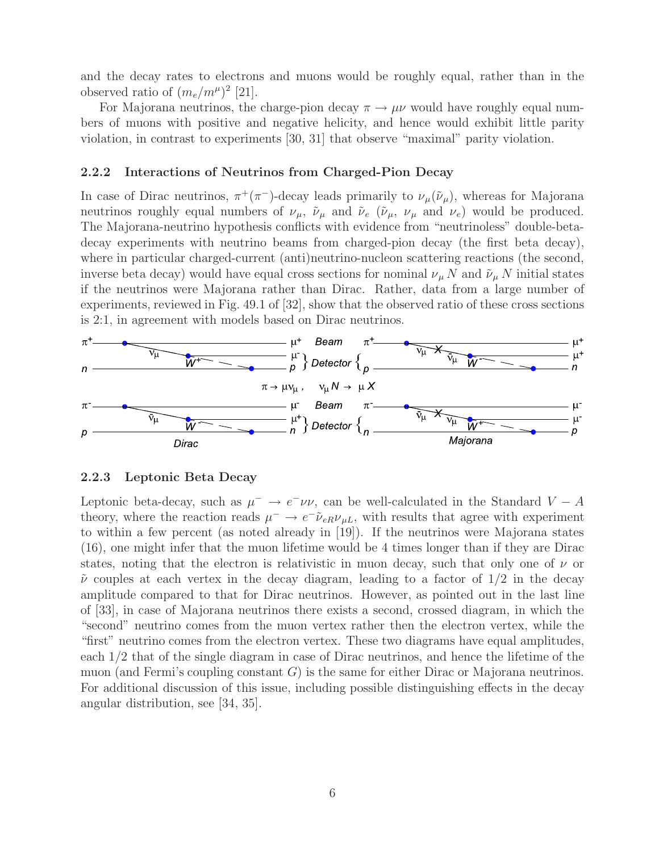and the decay rates to electrons and muons would be roughly equal, rather than in the observed ratio of  $(m_e/m^{\mu})^2$  [21].

For Majorana neutrinos, the charge-pion decay  $\pi \rightarrow \mu \nu$  would have roughly equal numbers of muons with positive and negative helicity, and hence would exhibit little parity violation, in contrast to experiments [30, 31] that observe "maximal" parity violation.

### **2.2.2 Interactions of Neutrinos from Charged-Pion Decay**

In case of Dirac neutrinos,  $\pi^+(\pi^-)$ -decay leads primarily to  $\nu_\mu(\tilde{\nu}_\mu)$ , whereas for Majorana neutrinos roughly equal numbers of  $\nu_\mu$ ,  $\tilde{\nu}_\mu$  and  $\tilde{\nu}_e$  ( $\tilde{\nu}_\mu$ ,  $\nu_\mu$  and  $\nu_e$ ) would be produced. The Majorana-neutrino hypothesis conflicts with evidence from "neutrinoless" double-betadecay experiments with neutrino beams from charged-pion decay (the first beta decay), where in particular charged-current (anti)neutrino-nucleon scattering reactions (the second, inverse beta decay) would have equal cross sections for nominal  $\nu_{\mu} N$  and  $\tilde{\nu}_{\mu} N$  initial states if the neutrinos were Majorana rather than Dirac. Rather, data from a large number of experiments, reviewed in Fig. 49.1 of [32], show that the observed ratio of these cross sections is 2:1, in agreement with models based on Dirac neutrinos.



#### **2.2.3 Leptonic Beta Decay**

Leptonic beta-decay, such as  $\mu^- \to e^- \nu \nu$ , can be well-calculated in the Standard  $V - A$ theory, where the reaction reads  $\mu^- \to e^- \tilde{\nu}_{eR} \nu_{\mu}$ , with results that agree with experiment to within a few percent (as noted already in [19]). If the neutrinos were Majorana states (16), one might infer that the muon lifetime would be 4 times longer than if they are Dirac states, noting that the electron is relativistic in muon decay, such that only one of  $\nu$  or  $\tilde{\nu}$  couples at each vertex in the decay diagram, leading to a factor of  $1/2$  in the decay amplitude compared to that for Dirac neutrinos. However, as pointed out in the last line of [33], in case of Majorana neutrinos there exists a second, crossed diagram, in which the "second" neutrino comes from the muon vertex rather then the electron vertex, while the "first" neutrino comes from the electron vertex. These two diagrams have equal amplitudes, each 1/2 that of the single diagram in case of Dirac neutrinos, and hence the lifetime of the muon (and Fermi's coupling constant  $G$ ) is the same for either Dirac or Majorana neutrinos. For additional discussion of this issue, including possible distinguishing effects in the decay angular distribution, see [34, 35].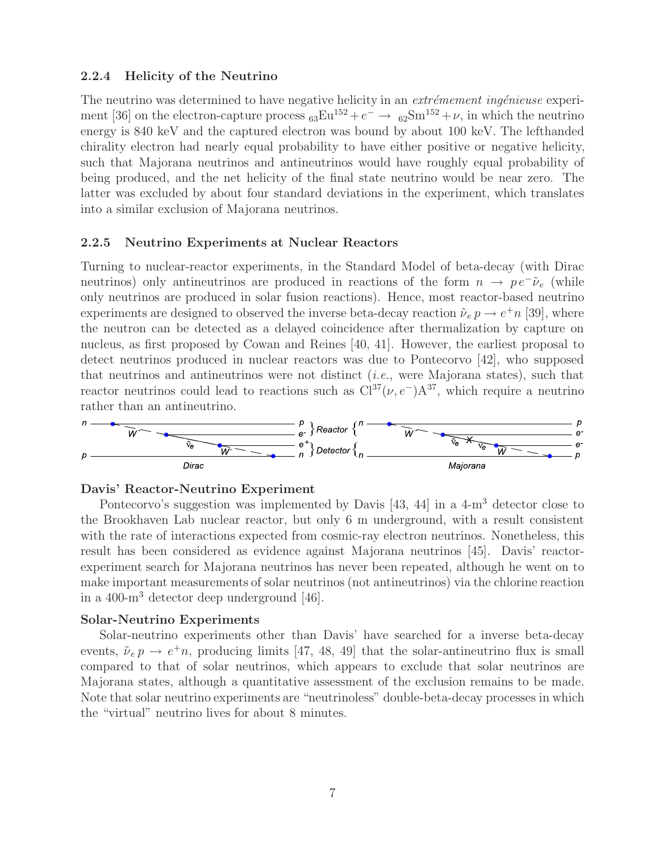### **2.2.4 Helicity of the Neutrino**

The neutrino was determined to have negative helicity in an *extrémement ingénieuse* experiment [36] on the electron-capture process  ${}_{63}\text{Eu}^{152}+e^- \rightarrow {}_{62}\text{Sm}^{152}+\nu$ , in which the neutrino energy is 840 keV and the captured electron was bound by about 100 keV. The lefthanded chirality electron had nearly equal probability to have either positive or negative helicity, such that Majorana neutrinos and antineutrinos would have roughly equal probability of being produced, and the net helicity of the final state neutrino would be near zero. The latter was excluded by about four standard deviations in the experiment, which translates into a similar exclusion of Majorana neutrinos.

#### **2.2.5 Neutrino Experiments at Nuclear Reactors**

Turning to nuclear-reactor experiments, in the Standard Model of beta-decay (with Dirac neutrinos) only antineutrinos are produced in reactions of the form  $n \to pe^- \tilde{\nu}_e$  (while only neutrinos are produced in solar fusion reactions). Hence, most reactor-based neutrino experiments are designed to observed the inverse beta-decay reaction  $\tilde{\nu}_e p \rightarrow e^+ n$  [39], where the neutron can be detected as a delayed coincidence after thermalization by capture on nucleus, as first proposed by Cowan and Reines [40, 41]. However, the earliest proposal to detect neutrinos produced in nuclear reactors was due to Pontecorvo [42], who supposed that neutrinos and antineutrinos were not distinct (*i.e.*, were Majorana states), such that reactor neutrinos could lead to reactions such as  $Cl^{37}(\nu, e^-)A^{37}$ , which require a neutrino rather than an antineutrino.



#### **Davis' Reactor-Neutrino Experiment**

Pontecorvo's suggestion was implemented by Davis [43, 44] in a 4-m<sup>3</sup> detector close to the Brookhaven Lab nuclear reactor, but only 6 m underground, with a result consistent with the rate of interactions expected from cosmic-ray electron neutrinos. Nonetheless, this result has been considered as evidence against Majorana neutrinos [45]. Davis' reactorexperiment search for Majorana neutrinos has never been repeated, although he went on to make important measurements of solar neutrinos (not antineutrinos) via the chlorine reaction in a 400-m<sup>3</sup> detector deep underground [46].

#### **Solar-Neutrino Experiments**

Solar-neutrino experiments other than Davis' have searched for a inverse beta-decay events,  $\tilde{\nu}_e p \rightarrow e^+ n$ , producing limits [47, 48, 49] that the solar-antineutrino flux is small compared to that of solar neutrinos, which appears to exclude that solar neutrinos are Majorana states, although a quantitative assessment of the exclusion remains to be made. Note that solar neutrino experiments are "neutrinoless" double-beta-decay processes in which the "virtual" neutrino lives for about 8 minutes.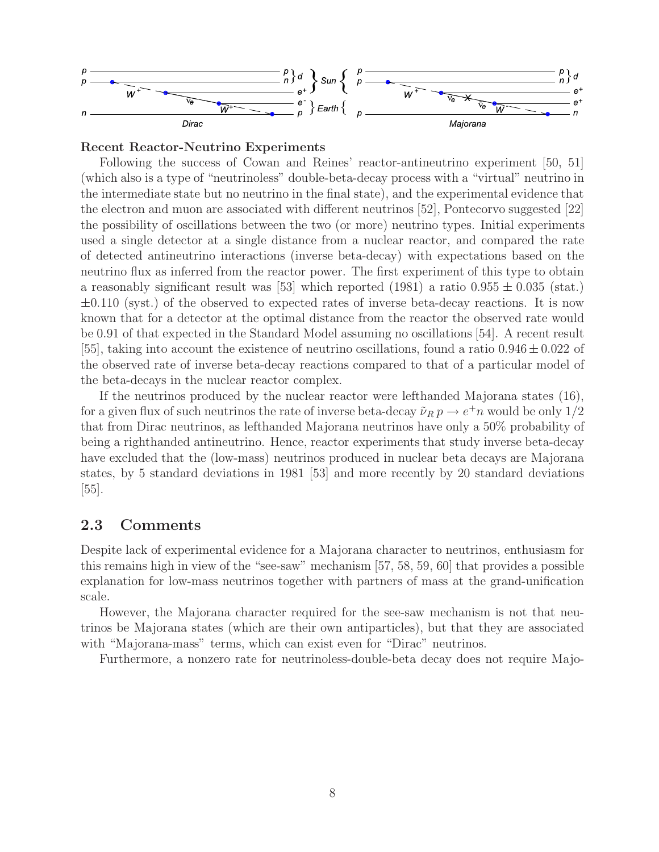

### **Recent Reactor-Neutrino Experiments**

Following the success of Cowan and Reines' reactor-antineutrino experiment [50, 51] (which also is a type of "neutrinoless" double-beta-decay process with a "virtual" neutrino in the intermediate state but no neutrino in the final state), and the experimental evidence that the electron and muon are associated with different neutrinos [52], Pontecorvo suggested [22] the possibility of oscillations between the two (or more) neutrino types. Initial experiments used a single detector at a single distance from a nuclear reactor, and compared the rate of detected antineutrino interactions (inverse beta-decay) with expectations based on the neutrino flux as inferred from the reactor power. The first experiment of this type to obtain a reasonably significant result was [53] which reported (1981) a ratio  $0.955 \pm 0.035$  (stat.)  $\pm 0.110$  (syst.) of the observed to expected rates of inverse beta-decay reactions. It is now known that for a detector at the optimal distance from the reactor the observed rate would be 0.91 of that expected in the Standard Model assuming no oscillations [54]. A recent result [55], taking into account the existence of neutrino oscillations, found a ratio  $0.946 \pm 0.022$  of the observed rate of inverse beta-decay reactions compared to that of a particular model of the beta-decays in the nuclear reactor complex.

If the neutrinos produced by the nuclear reactor were lefthanded Majorana states (16), for a given flux of such neutrinos the rate of inverse beta-decay  $\tilde{\nu}_R p \to e^+ n$  would be only  $1/2$ that from Dirac neutrinos, as lefthanded Majorana neutrinos have only a 50% probability of being a righthanded antineutrino. Hence, reactor experiments that study inverse beta-decay have excluded that the (low-mass) neutrinos produced in nuclear beta decays are Majorana states, by 5 standard deviations in 1981 [53] and more recently by 20 standard deviations  $|55|$ .

# **2.3 Comments**

Despite lack of experimental evidence for a Majorana character to neutrinos, enthusiasm for this remains high in view of the "see-saw" mechanism [57, 58, 59, 60] that provides a possible explanation for low-mass neutrinos together with partners of mass at the grand-unification scale.

However, the Majorana character required for the see-saw mechanism is not that neutrinos be Majorana states (which are their own antiparticles), but that they are associated with "Majorana-mass" terms, which can exist even for "Dirac" neutrinos.

Furthermore, a nonzero rate for neutrinoless-double-beta decay does not require Majo-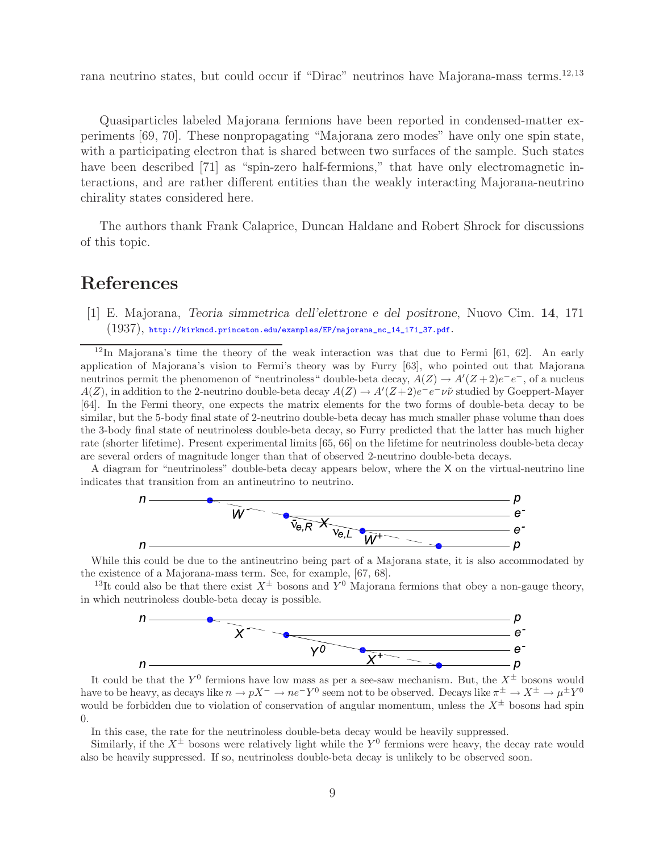rana neutrino states, but could occur if "Dirac" neutrinos have Majorana-mass terms.<sup>12,13</sup>

Quasiparticles labeled Majorana fermions have been reported in condensed-matter experiments [69, 70]. These nonpropagating "Majorana zero modes" have only one spin state, with a participating electron that is shared between two surfaces of the sample. Such states have been described [71] as "spin-zero half-fermions," that have only electromagnetic interactions, and are rather different entities than the weakly interacting Majorana-neutrino chirality states considered here.

The authors thank Frank Calaprice, Duncan Haldane and Robert Shrock for discussions of this topic.

# **References**

[1] E. Majorana, *Teoria simmetrica dell'elettrone e del positrone*, Nuovo Cim. **14**, 171  $(1937)$ , http://kirkmcd.princeton.edu/examples/EP/majorana\_nc\_14\_171\_37.pdf.

<sup>12</sup>In Majorana's time the theory of the weak interaction was that due to Fermi [61, 62]. An early application of Majorana's vision to Fermi's theory was by Furry [63], who pointed out that Majorana neutrinos permit the phenomenon of "neutrinoless" double-beta decay,  $A(Z) \to A'(Z+2)e^-e^-$ , of a nucleus  $A(Z)$ , in addition to the 2-neutrino double-beta decay  $A(Z) \to A'(Z+2)e^-e^-\nu\tilde{\nu}$  studied by Goeppert-Mayer [64]. In the Fermi theory, one expects the matrix elements for the two forms of double-beta decay to be similar, but the 5-body final state of 2-neutrino double-beta decay has much smaller phase volume than does the 3-body final state of neutrinoless double-beta decay, so Furry predicted that the latter has much higher rate (shorter lifetime). Present experimental limits [65, 66] on the lifetime for neutrinoless double-beta decay are several orders of magnitude longer than that of observed 2-neutrino double-beta decays.

A diagram for "neutrinoless" double-beta decay appears below, where the X on the virtual-neutrino line indicates that transition from an antineutrino to neutrino.



While this could be due to the antineutrino being part of a Majorana state, it is also accommodated by the existence of a Majorana-mass term. See, for example, [67, 68].

<sup>13</sup>It could also be that there exist  $X^{\pm}$  bosons and  $Y^{0}$  Majorana fermions that obey a non-gauge theory, in which neutrinoless double-beta decay is possible.



It could be that the  $Y^0$  fermions have low mass as per a see-saw mechanism. But, the  $X^{\pm}$  bosons would have to be heavy, as decays like  $n \to pX^- \to ne-Y^0$  seem not to be observed. Decays like  $\pi^{\pm} \to X^{\pm} \to \mu^{\pm}Y^0$ would be forbidden due to violation of conservation of angular momentum, unless the  $X^{\pm}$  bosons had spin 0.

In this case, the rate for the neutrinoless double-beta decay would be heavily suppressed.

Similarly, if the  $X^{\pm}$  bosons were relatively light while the Y<sup>0</sup> fermions were heavy, the decay rate would also be heavily suppressed. If so, neutrinoless double-beta decay is unlikely to be observed soon.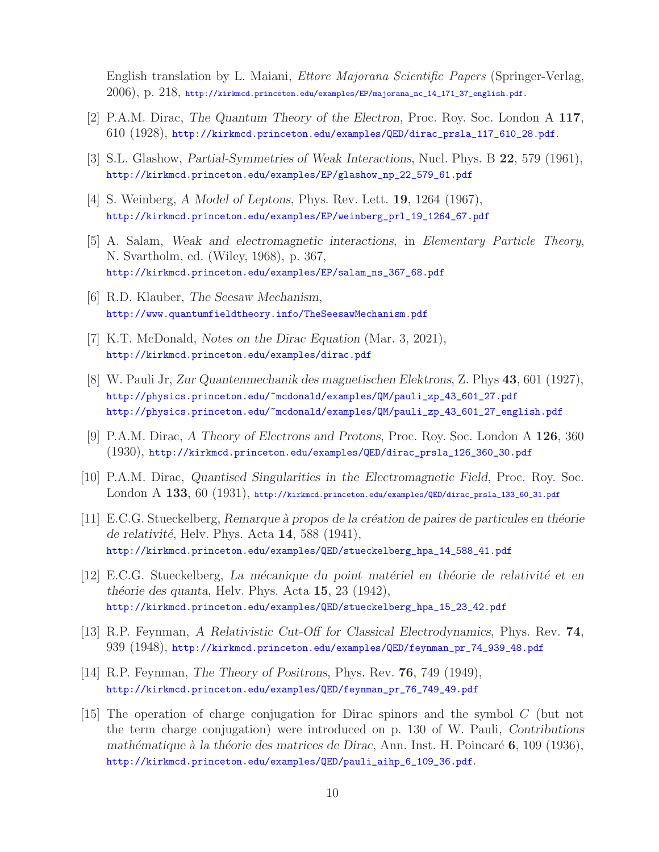English translation by L. Maiani, *Ettore Majorana Scientific Papers* (Springer-Verlag, 2006), p. 218, http://kirkmcd.princeton.edu/examples/EP/majorana\_nc\_14\_171\_37\_english.pdf.

- [2] P.A.M. Dirac, *The Quantum Theory of the Electron*, Proc. Roy. Soc. London A **117**, 610 (1928), http://kirkmcd.princeton.edu/examples/QED/dirac\_prsla\_117\_610\_28.pdf.
- [3] S.L. Glashow, *Partial-Symmetries of Weak Interactions*, Nucl. Phys. B **22**, 579 (1961), http://kirkmcd.princeton.edu/examples/EP/glashow\_np\_22\_579\_61.pdf
- [4] S. Weinberg, *A Model of Leptons*, Phys. Rev. Lett. **19**, 1264 (1967), http://kirkmcd.princeton.edu/examples/EP/weinberg\_prl\_19\_1264\_67.pdf
- [5] A. Salam, *Weak and electromagnetic interactions*, in *Elementary Particle Theory*, N. Svartholm, ed. (Wiley, 1968), p. 367, http://kirkmcd.princeton.edu/examples/EP/salam\_ns\_367\_68.pdf
- [6] R.D. Klauber, *The Seesaw Mechanism*, http://www.quantumfieldtheory.info/TheSeesawMechanism.pdf
- [7] K.T. McDonald, *Notes on the Dirac Equation* (Mar. 3, 2021), http://kirkmcd.princeton.edu/examples/dirac.pdf
- [8] W. Pauli Jr, *Zur Quantenmechanik des magnetischen Elektrons*, Z. Phys **43**, 601 (1927), http://physics.princeton.edu/~mcdonald/examples/QM/pauli\_zp\_43\_601\_27.pdf http://physics.princeton.edu/~mcdonald/examples/QM/pauli\_zp\_43\_601\_27\_english.pdf
- [9] P.A.M. Dirac, *A Theory of Electrons and Protons*, Proc. Roy. Soc. London A **126**, 360 (1930), http://kirkmcd.princeton.edu/examples/QED/dirac\_prsla\_126\_360\_30.pdf
- [10] P.A.M. Dirac, *Quantised Singularities in the Electromagnetic Field*, Proc. Roy. Soc. London A **133**, 60 (1931), http://kirkmcd.princeton.edu/examples/QED/dirac\_prsla\_133\_60\_31.pdf
- [11] E.C.G. Stueckelberg, *Remarque `a propos de la cr´eation de paires de particules en th´eorie de relativit´e*, Helv. Phys. Acta **14**, 588 (1941), http://kirkmcd.princeton.edu/examples/QED/stueckelberg\_hpa\_14\_588\_41.pdf
- [12] E.C.G. Stueckelberg, *La m´ecanique du point mat´eriel en th´eorie de relativit´e et en th´eorie des quanta*, Helv. Phys. Acta **15**, 23 (1942), http://kirkmcd.princeton.edu/examples/QED/stueckelberg\_hpa\_15\_23\_42.pdf
- [13] R.P. Feynman, *A Relativistic Cut-Off for Classical Electrodynamics*, Phys. Rev. **74**, 939 (1948), http://kirkmcd.princeton.edu/examples/QED/feynman\_pr\_74\_939\_48.pdf
- [14] R.P. Feynman, *The Theory of Positrons*, Phys. Rev. **76**, 749 (1949), http://kirkmcd.princeton.edu/examples/QED/feynman\_pr\_76\_749\_49.pdf
- [15] The operation of charge conjugation for Dirac spinors and the symbol C (but not the term charge conjugation) were introduced on p. 130 of W. Pauli, *Contributions mathématique à la théorie des matrices de Dirac*, Ann. Inst. H. Poincaré **6**, 109 (1936), http://kirkmcd.princeton.edu/examples/QED/pauli\_aihp\_6\_109\_36.pdf.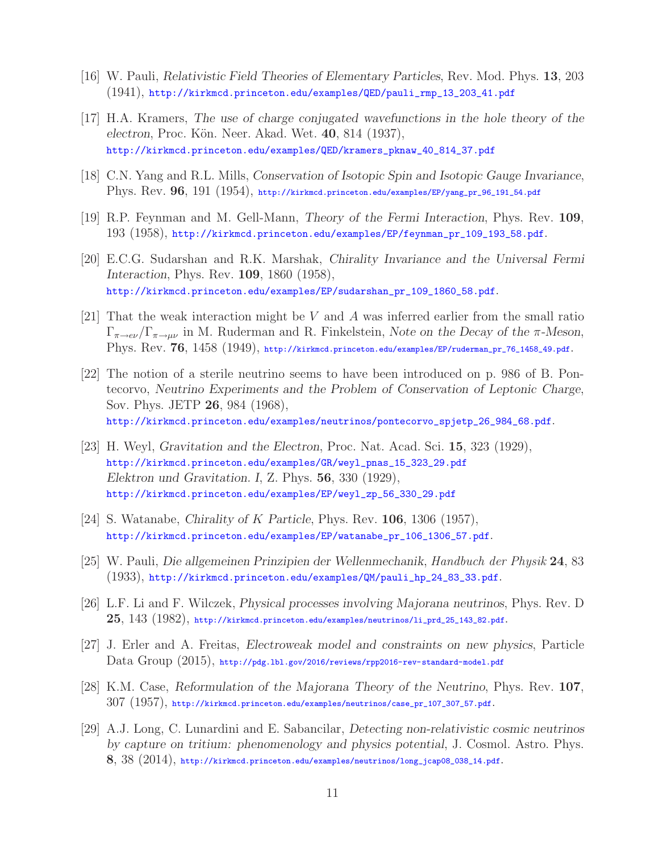- [16] W. Pauli, *Relativistic Field Theories of Elementary Particles*, Rev. Mod. Phys. **13**, 203 (1941), http://kirkmcd.princeton.edu/examples/QED/pauli\_rmp\_13\_203\_41.pdf
- [17] H.A. Kramers, *The use of charge conjugated wavefunctions in the hole theory of the electron*, Proc. K¨on. Neer. Akad. Wet. **40**, 814 (1937), http://kirkmcd.princeton.edu/examples/QED/kramers\_pknaw\_40\_814\_37.pdf
- [18] C.N. Yang and R.L. Mills, *Conservation of Isotopic Spin and Isotopic Gauge Invariance*, Phys. Rev. **96**, 191 (1954), http://kirkmcd.princeton.edu/examples/EP/yang\_pr\_96\_191\_54.pdf
- [19] R.P. Feynman and M. Gell-Mann, *Theory of the Fermi Interaction*, Phys. Rev. **109**, 193 (1958), http://kirkmcd.princeton.edu/examples/EP/feynman\_pr\_109\_193\_58.pdf.
- [20] E.C.G. Sudarshan and R.K. Marshak, *Chirality Invariance and the Universal Fermi Interaction*, Phys. Rev. **109**, 1860 (1958), http://kirkmcd.princeton.edu/examples/EP/sudarshan\_pr\_109\_1860\_58.pdf.
- [21] That the weak interaction might be V and A was inferred earlier from the small ratio <sup>Γ</sup><sup>π</sup>→eν /Γ<sup>π</sup>→μν in M. Ruderman and R. Finkelstein, *Note on the Decay of the* <sup>π</sup>*-Meson*, Phys. Rev. 76, 1458 (1949), http://kirkmcd.princeton.edu/examples/EP/ruderman\_pr\_76\_1458\_49.pdf.
- [22] The notion of a sterile neutrino seems to have been introduced on p. 986 of B. Pontecorvo, *Neutrino Experiments and the Problem of Conservation of Leptonic Charge*, Sov. Phys. JETP **26**, 984 (1968), http://kirkmcd.princeton.edu/examples/neutrinos/pontecorvo\_spjetp\_26\_984\_68.pdf.
- [23] H. Weyl, *Gravitation and the Electron*, Proc. Nat. Acad. Sci. **15**, 323 (1929), http://kirkmcd.princeton.edu/examples/GR/weyl\_pnas\_15\_323\_29.pdf *Elektron und Gravitation. I*, Z. Phys. **56**, 330 (1929), http://kirkmcd.princeton.edu/examples/EP/weyl\_zp\_56\_330\_29.pdf
- [24] S. Watanabe, *Chirality of* K *Particle*, Phys. Rev. **<sup>106</sup>**, 1306 (1957), http://kirkmcd.princeton.edu/examples/EP/watanabe\_pr\_106\_1306\_57.pdf.
- [25] W. Pauli, *Die allgemeinen Prinzipien der Wellenmechanik*, *Handbuch der Physik* **24**, 83 (1933), http://kirkmcd.princeton.edu/examples/QM/pauli\_hp\_24\_83\_33.pdf.
- [26] L.F. Li and F. Wilczek, *Physical processes involving Majorana neutrinos*, Phys. Rev. D **25**, 143 (1982), http://kirkmcd.princeton.edu/examples/neutrinos/li\_prd\_25\_143\_82.pdf.
- [27] J. Erler and A. Freitas, *Electroweak model and constraints on new physics*, Particle Data Group (2015), http://pdg.lbl.gov/2016/reviews/rpp2016-rev-standard-model.pdf
- [28] K.M. Case, *Reformulation of the Majorana Theory of the Neutrino*, Phys. Rev. **107**, 307 (1957), http://kirkmcd.princeton.edu/examples/neutrinos/case\_pr\_107\_307\_57.pdf.
- [29] A.J. Long, C. Lunardini and E. Sabancilar, *Detecting non-relativistic cosmic neutrinos by capture on tritium: phenomenology and physics potential*, J. Cosmol. Astro. Phys. **8**, 38 (2014), http://kirkmcd.princeton.edu/examples/neutrinos/long\_jcap08\_038\_14.pdf.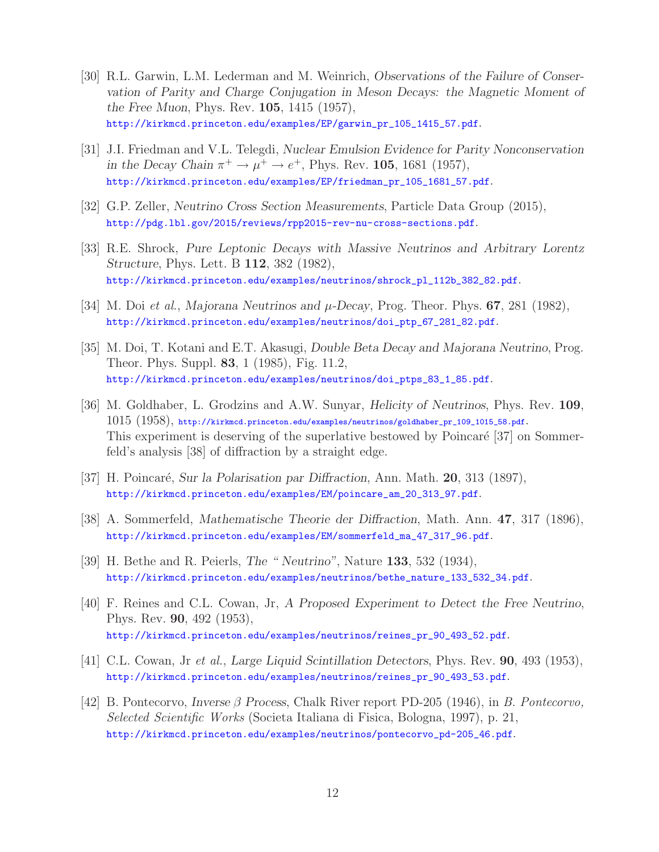- [30] R.L. Garwin, L.M. Lederman and M. Weinrich, *Observations of the Failure of Conservation of Parity and Charge Conjugation in Meson Decays: the Magnetic Moment of the Free Muon*, Phys. Rev. **105**, 1415 (1957), http://kirkmcd.princeton.edu/examples/EP/garwin\_pr\_105\_1415\_57.pdf.
- [31] J.I. Friedman and V.L. Telegdi, *Nuclear Emulsion Evidence for Parity Nonconservation in the Decay Chain*  $\pi^+ \to \mu^+ \to e^+$ , Phys. Rev. 105, 1681 (1957), http://kirkmcd.princeton.edu/examples/EP/friedman\_pr\_105\_1681\_57.pdf.
- [32] G.P. Zeller, *Neutrino Cross Section Measurements*, Particle Data Group (2015), http://pdg.lbl.gov/2015/reviews/rpp2015-rev-nu-cross-sections.pdf.
- [33] R.E. Shrock, *Pure Leptonic Decays with Massive Neutrinos and Arbitrary Lorentz Structure*, Phys. Lett. B **112**, 382 (1982), http://kirkmcd.princeton.edu/examples/neutrinos/shrock\_pl\_112b\_382\_82.pdf.
- [34] M. Doi *et al.*, *Majorana Neutrinos and* μ*-Decay*, Prog. Theor. Phys. **<sup>67</sup>**, 281 (1982), http://kirkmcd.princeton.edu/examples/neutrinos/doi\_ptp\_67\_281\_82.pdf.
- [35] M. Doi, T. Kotani and E.T. Akasugi, *Double Beta Decay and Majorana Neutrino*, Prog. Theor. Phys. Suppl. **83**, 1 (1985), Fig. 11.2, http://kirkmcd.princeton.edu/examples/neutrinos/doi\_ptps\_83\_1\_85.pdf.
- [36] M. Goldhaber, L. Grodzins and A.W. Sunyar, *Helicity of Neutrinos*, Phys. Rev. **109**, 1015 (1958), http://kirkmcd.princeton.edu/examples/neutrinos/goldhaber\_pr\_109\_1015\_58.pdf. This experiment is deserving of the superlative bestowed by Poincaré [37] on Sommerfeld's analysis [38] of diffraction by a straight edge.
- [37] H. Poincar´e, *Sur la Polarisation par Diffraction*, Ann. Math. **20**, 313 (1897), http://kirkmcd.princeton.edu/examples/EM/poincare\_am\_20\_313\_97.pdf.
- [38] A. Sommerfeld, *Mathematische Theorie der Diffraction*, Math. Ann. **47**, 317 (1896), http://kirkmcd.princeton.edu/examples/EM/sommerfeld\_ma\_47\_317\_96.pdf.
- [39] H. Bethe and R. Peierls, *The " Neutrino"*, Nature **133**, 532 (1934), http://kirkmcd.princeton.edu/examples/neutrinos/bethe\_nature\_133\_532\_34.pdf.
- [40] F. Reines and C.L. Cowan, Jr, *A Proposed Experiment to Detect the Free Neutrino*, Phys. Rev. **90**, 492 (1953), http://kirkmcd.princeton.edu/examples/neutrinos/reines\_pr\_90\_493\_52.pdf.
- [41] C.L. Cowan, Jr *et al.*, *Large Liquid Scintillation Detectors*, Phys. Rev. **90**, 493 (1953), http://kirkmcd.princeton.edu/examples/neutrinos/reines\_pr\_90\_493\_53.pdf.
- [42] B. Pontecorvo, *Inverse* β *Process*, Chalk River report PD-205 (1946), in *B. Pontecorvo, Selected Scientific Works* (Societa Italiana di Fisica, Bologna, 1997), p. 21, http://kirkmcd.princeton.edu/examples/neutrinos/pontecorvo\_pd-205\_46.pdf.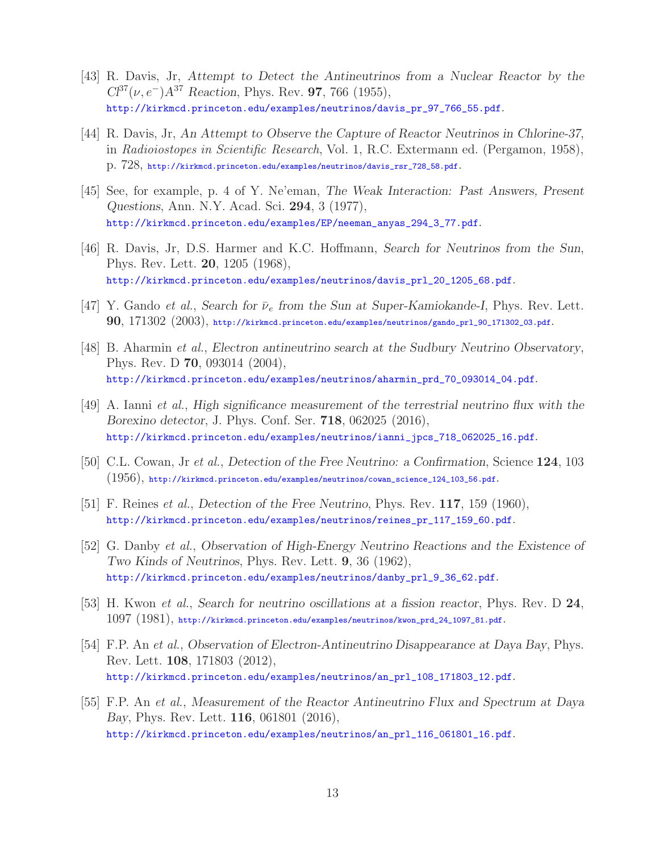- [43] R. Davis, Jr, *Attempt to Detect the Antineutrinos from a Nuclear Reactor by the Cl*<sup>37</sup>(ν,e<sup>−</sup>)*A*<sup>37</sup> *Reaction*, Phys. Rev. **<sup>97</sup>**, 766 (1955), http://kirkmcd.princeton.edu/examples/neutrinos/davis\_pr\_97\_766\_55.pdf.
- [44] R. Davis, Jr, *An Attempt to Observe the Capture of Reactor Neutrinos in Chlorine-37*, in *Radioiostopes in Scientific Research*, Vol. 1, R.C. Extermann ed. (Pergamon, 1958), p. 728, http://kirkmcd.princeton.edu/examples/neutrinos/davis\_rsr\_728\_58.pdf.
- [45] See, for example, p. 4 of Y. Ne'eman, *The Weak Interaction: Past Answers, Present Questions*, Ann. N.Y. Acad. Sci. **294**, 3 (1977), http://kirkmcd.princeton.edu/examples/EP/neeman\_anyas\_294\_3\_77.pdf.
- [46] R. Davis, Jr, D.S. Harmer and K.C. Hoffmann, *Search for Neutrinos from the Sun*, Phys. Rev. Lett. **20**, 1205 (1968), http://kirkmcd.princeton.edu/examples/neutrinos/davis\_prl\_20\_1205\_68.pdf.
- [47] Y. Gando *et al.*, *Search for*  $\bar{\nu}_e$  *from the Sun at Super-Kamiokande-I*, *Phys. Rev. Lett.* **90**, 171302 (2003), http://kirkmcd.princeton.edu/examples/neutrinos/gando\_prl\_90\_171302\_03.pdf.
- [48] B. Aharmin *et al.*, *Electron antineutrino search at the Sudbury Neutrino Observatory*, Phys. Rev. D **70**, 093014 (2004), http://kirkmcd.princeton.edu/examples/neutrinos/aharmin\_prd\_70\_093014\_04.pdf.
- [49] A. Ianni *et al.*, *High significance measurement of the terrestrial neutrino flux with the Borexino detector*, J. Phys. Conf. Ser. **718**, 062025 (2016), http://kirkmcd.princeton.edu/examples/neutrinos/ianni\_jpcs\_718\_062025\_16.pdf.
- [50] C.L. Cowan, Jr *et al.*, *Detection of the Free Neutrino: a Confirmation*, Science **124**, 103 (1956), http://kirkmcd.princeton.edu/examples/neutrinos/cowan\_science\_124\_103\_56.pdf.
- [51] F. Reines *et al.*, *Detection of the Free Neutrino*, Phys. Rev. **117**, 159 (1960), http://kirkmcd.princeton.edu/examples/neutrinos/reines\_pr\_117\_159\_60.pdf.
- [52] G. Danby *et al.*, *Observation of High-Energy Neutrino Reactions and the Existence of Two Kinds of Neutrinos*, Phys. Rev. Lett. **9**, 36 (1962), http://kirkmcd.princeton.edu/examples/neutrinos/danby\_prl\_9\_36\_62.pdf.
- [53] H. Kwon *et al.*, *Search for neutrino oscillations at a fission reactor*, Phys. Rev. D **24**, 1097 (1981), http://kirkmcd.princeton.edu/examples/neutrinos/kwon\_prd\_24\_1097\_81.pdf.
- [54] F.P. An *et al.*, *Observation of Electron-Antineutrino Disappearance at Daya Bay*, Phys. Rev. Lett. **108**, 171803 (2012), http://kirkmcd.princeton.edu/examples/neutrinos/an\_prl\_108\_171803\_12.pdf.
- [55] F.P. An *et al.*, *Measurement of the Reactor Antineutrino Flux and Spectrum at Daya Bay*, Phys. Rev. Lett. **116**, 061801 (2016), http://kirkmcd.princeton.edu/examples/neutrinos/an\_prl\_116\_061801\_16.pdf.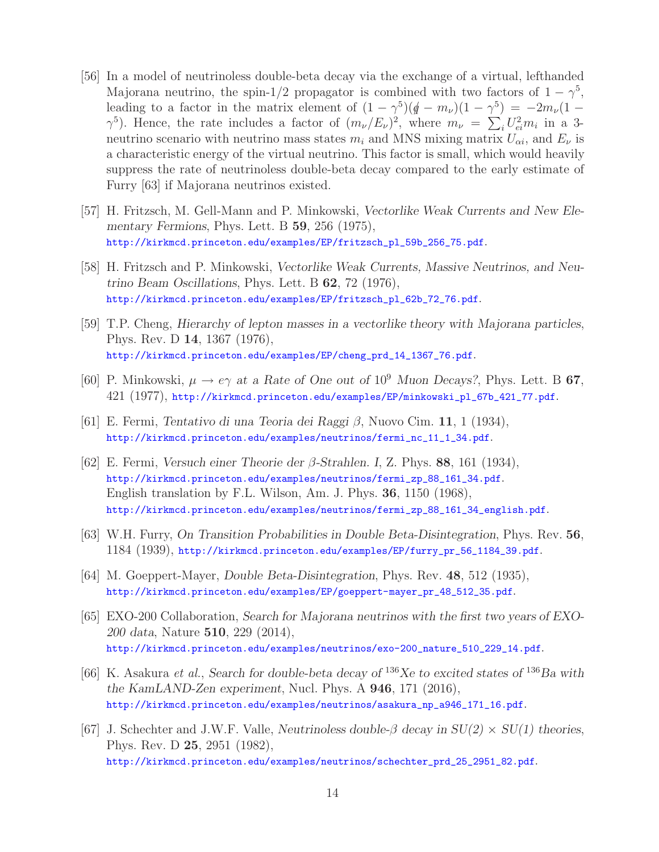- [56] In a model of neutrinoless double-beta decay via the exchange of a virtual, lefthanded Majorana neutrino, the spin-1/2 propagator is combined with two factors of  $1 - \gamma^5$ , leading to a factor in the matrix element of  $(1 - \gamma^5)(\rlap{/}{\not q} - m_\nu)(1 - \gamma^5) = -2m_\nu(1 \gamma^5$ ). Hence, the rate includes a factor of  $(m_\nu/E_\nu)^2$ , where  $m_\nu = \sum_i U_{ei}^2 m_i$  in a 3-<br>poutring scopario with poutring mass states m<sub>i</sub> and MNS mixing matrix  $U_{\nu}$  and F is neutrino scenario with neutrino mass states  $m_i$  and MNS mixing matrix  $U_{\alpha i}$ , and  $E_{\nu}$  is a characteristic energy of the virtual neutrino. This factor is small, which would heavily suppress the rate of neutrinoless double-beta decay compared to the early estimate of Furry [63] if Majorana neutrinos existed.
- [57] H. Fritzsch, M. Gell-Mann and P. Minkowski, *Vectorlike Weak Currents and New Elementary Fermions*, Phys. Lett. B **59**, 256 (1975), http://kirkmcd.princeton.edu/examples/EP/fritzsch\_pl\_59b\_256\_75.pdf.
- [58] H. Fritzsch and P. Minkowski, *Vectorlike Weak Currents, Massive Neutrinos, and Neutrino Beam Oscillations*, Phys. Lett. B **62**, 72 (1976), http://kirkmcd.princeton.edu/examples/EP/fritzsch\_pl\_62b\_72\_76.pdf.
- [59] T.P. Cheng, *Hierarchy of lepton masses in a vectorlike theory with Majorana particles*, Phys. Rev. D **14**, 1367 (1976), http://kirkmcd.princeton.edu/examples/EP/cheng\_prd\_14\_1367\_76.pdf.
- [60] P. Minkowski,  $\mu \to e\gamma$  *at a Rate of One out of* 10<sup>9</sup> *Muon Decays?*, Phys. Lett. B **67**, 421 (1977), http://kirkmcd.princeton.edu/examples/EP/minkowski\_pl\_67b\_421\_77.pdf.
- [61] E. Fermi, *Tentativo di una Teoria dei Raggi* β, Nuovo Cim. **<sup>11</sup>**, 1 (1934), http://kirkmcd.princeton.edu/examples/neutrinos/fermi\_nc\_11\_1\_34.pdf.
- [62] E. Fermi, *Versuch einer Theorie der* β*-Strahlen. I*, Z. Phys. **<sup>88</sup>**, 161 (1934), http://kirkmcd.princeton.edu/examples/neutrinos/fermi\_zp\_88\_161\_34.pdf. English translation by F.L. Wilson, Am. J. Phys. **36**, 1150 (1968), http://kirkmcd.princeton.edu/examples/neutrinos/fermi\_zp\_88\_161\_34\_english.pdf.
- [63] W.H. Furry, *On Transition Probabilities in Double Beta-Disintegration*, Phys. Rev. **56**, 1184 (1939), http://kirkmcd.princeton.edu/examples/EP/furry\_pr\_56\_1184\_39.pdf.
- [64] M. Goeppert-Mayer, *Double Beta-Disintegration*, Phys. Rev. **48**, 512 (1935), http://kirkmcd.princeton.edu/examples/EP/goeppert-mayer\_pr\_48\_512\_35.pdf.
- [65] EXO-200 Collaboration, *Search for Majorana neutrinos with the first two years of EXO-200 data*, Nature **510**, 229 (2014), http://kirkmcd.princeton.edu/examples/neutrinos/exo-200\_nature\_510\_229\_14.pdf.
- [66] K. Asakura *et al.*, *Search for double-beta decay of* <sup>136</sup>*Xe to excited states of* <sup>136</sup>*Ba with the KamLAND-Zen experiment*, Nucl. Phys. A **946**, 171 (2016), http://kirkmcd.princeton.edu/examples/neutrinos/asakura\_np\_a946\_171\_16.pdf.
- [67] J. Schechter and J.W.F. Valle, *Neutrinoless double-*β *decay in SU(2)* <sup>×</sup> *SU(1) theories*, Phys. Rev. D **25**, 2951 (1982), http://kirkmcd.princeton.edu/examples/neutrinos/schechter\_prd\_25\_2951\_82.pdf.